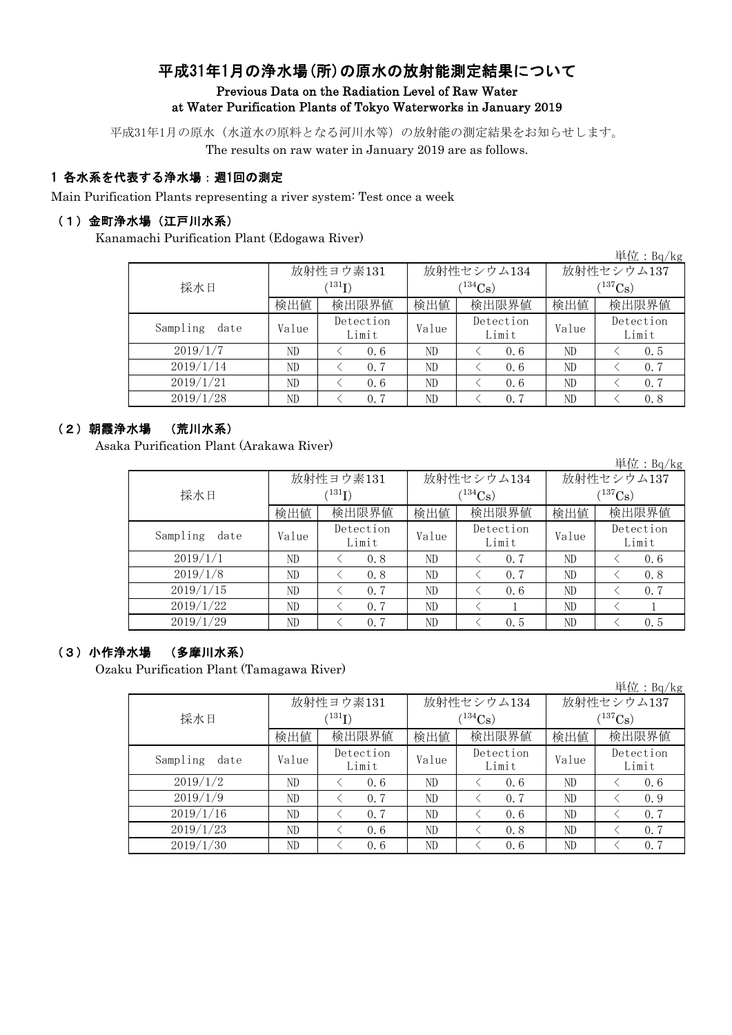# 平成31年1月の浄水場(所)の原水の放射能測定結果について Previous Data on the Radiation Level of Raw Water at Water Purification Plants of Tokyo Waterworks in January 2019

平成31年1月の原水(水道水の原料となる河川水等)の放射能の測定結果をお知らせします。 The results on raw water in January 2019 are as follows.

## 1 各水系を代表する浄水場:週1回の測定

Main Purification Plants representing a river system: Test once a week

### (1)金町浄水場(江戸川水系)

Kanamachi Purification Plant (Edogawa River)

|                  |                             |                    |       |                    |              | 単位: $Bq/kg$        |  |
|------------------|-----------------------------|--------------------|-------|--------------------|--------------|--------------------|--|
|                  |                             | 放射性ヨウ素131          |       | 放射性セシウム134         | 放射性セシウム137   |                    |  |
| 採水日              | $^{\prime 131} \mathrm{I})$ |                    |       | $(134)$ Cs         | $(^{137}Cs)$ |                    |  |
|                  | 検出値                         | 検出限界値              | 検出値   | 検出限界値              | 検出値          | 検出限界値              |  |
| Sampling<br>date | Value                       | Detection<br>Limit | Value | Detection<br>Limit | Value        | Detection<br>Limit |  |
| 2019/1/7         | ND                          | 0.6                | ND    | 0.6                | ND           | 0.5                |  |
| 2019/1/14        | ND                          | 0.7                | ND    | 0, 6               | ND           | 0.7                |  |
| 2019/1/21        | ND                          | 0.6                | ND    | 0.6                | ND           | 0.7                |  |
| 2019/1/28        | ND                          | 0.7                | ND    | 0.7                | ND           | 0.8                |  |

#### (2)朝霞浄水場 (荒川水系)

Asaka Purification Plant (Arakawa River)

単位:Bq/kg

|                  |                                                                                            | 放射性ヨウ素131   |       | 放射性セシウム134  | 放射性セシウム137   |                    |  |
|------------------|--------------------------------------------------------------------------------------------|-------------|-------|-------------|--------------|--------------------|--|
| 採水日              |                                                                                            | $^{131}$ I) |       | $(134)$ Cs) | $(^{137}Cs)$ |                    |  |
|                  | 検出限界値<br>検出限界値<br>検出値<br>検出値<br>Detection<br>Detection<br>Value<br>Value<br>Limit<br>Limit | 検出値         | 検出限界値 |             |              |                    |  |
| Sampling<br>date |                                                                                            |             |       |             | Value        | Detection<br>Limit |  |
| 2019/1/1         | ND                                                                                         | 0.8         | ND    | 0.7         | ND           | 0.6                |  |
| 2019/1/8         | ND                                                                                         | 0.8         | ND    | 0.7         | ND           | 0.8                |  |
| 2019/1/15        | ND                                                                                         | 0.7         | ND    | 0.6         | ND           | 0.7                |  |
| 2019/1/22        | ND                                                                                         | 0.7         | ND    |             | ND           |                    |  |
| 2019/1/29        | ND                                                                                         | 0.7         | ND    | 0.5         | ND           | 0.5                |  |

## (3)小作浄水場 (多摩川水系)

Ozaku Purification Plant (Tamagawa River)

|                  |       |                          |       |                    |              | 単位: $Bq/kg$        |  |
|------------------|-------|--------------------------|-------|--------------------|--------------|--------------------|--|
|                  |       | 放射性ヨウ素131                |       | 放射性セシウム134         | 放射性セシウム137   |                    |  |
| 採水日              |       | $^{\prime\,131}{\rm I})$ |       | $(134)$ Cs         | $(^{137}Cs)$ |                    |  |
|                  | 検出値   | 検出限界値                    | 検出値   | 検出限界値              | 検出値          | 検出限界値              |  |
| Sampling<br>date | Value | Detection<br>Limit       | Value | Detection<br>Limit | Value        | Detection<br>Limit |  |
| 2019/1/2         | ND    | 0.6                      | ND    | 0.6                | ND           | 0.6                |  |
| 2019/1/9         | ND    | 0.7                      | ND    | 0.7                | ND           | 0.9                |  |
| 2019/1/16        | ND    | 0.7                      | ND    | 0.6                | ND           | 0, 7               |  |
| 2019/1/23        | ND    | 0.6                      | ND    | 0.8                | ND           | 0, 7               |  |
| 2019/1/30        | ND    | 0.6                      | ND    | 0.6                | ND           | 0, 7               |  |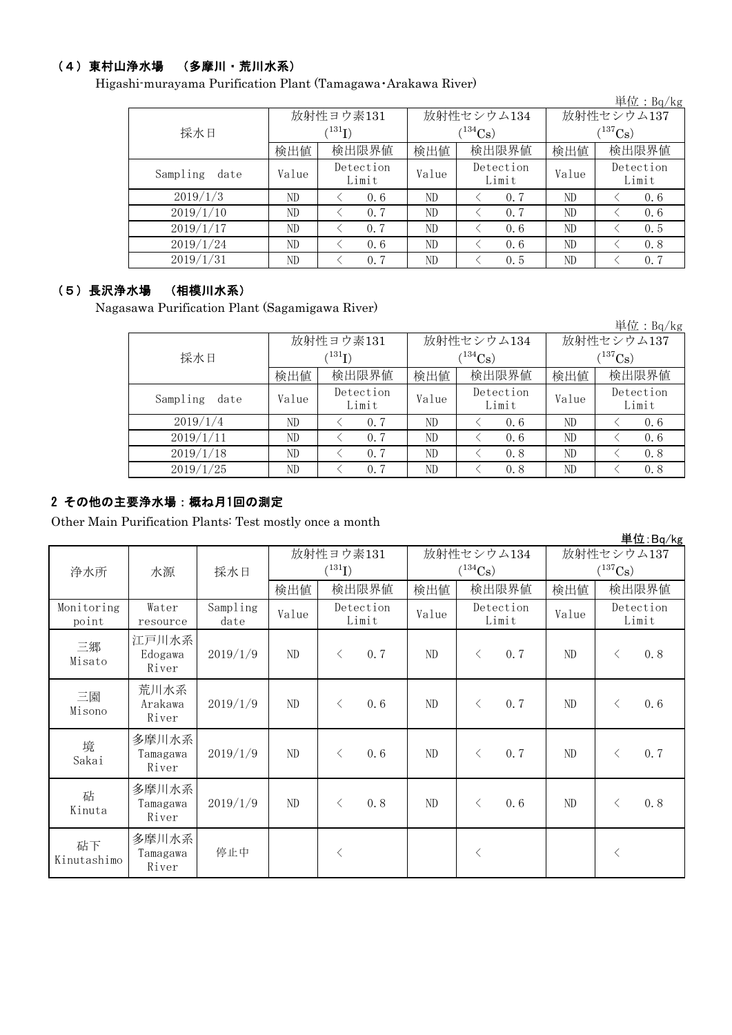# (4)東村山浄水場 (多摩川・荒川水系)

Higashi-murayama Purification Plant (Tamagawa・Arakawa River)

|                  |       |                                                                                                                                                |       |            |                       | 単位: Bq/kg          |  |
|------------------|-------|------------------------------------------------------------------------------------------------------------------------------------------------|-------|------------|-----------------------|--------------------|--|
|                  |       | 放射性ヨウ素131                                                                                                                                      |       | 放射性セシウム134 | 放射性セシウム137            |                    |  |
| 採水日              |       | $^{\prime131} \mathrm{I})$                                                                                                                     |       | $(134)$ Cs | $(^{137}\mathrm{Cs})$ |                    |  |
|                  | 検出値   | 検出限界値<br>検出限界値<br>検出値<br>検出値<br>Detection<br>Detection<br>Value<br>Value<br>Limit<br>Limit<br>ND<br>0.7<br>ND<br>0.6<br>ND<br>ND<br>0.7<br>0.7 | 検出限界値 |            |                       |                    |  |
| Sampling<br>date | Value |                                                                                                                                                |       |            |                       | Detection<br>Limit |  |
| 2019/1/3         | ND    |                                                                                                                                                |       |            |                       | 0.6                |  |
| 2019/1/10        | ND    |                                                                                                                                                |       |            |                       | 0.6                |  |
| 2019/1/17        | ND    | 0.7                                                                                                                                            | ND    | 0.6        | ND                    | 0.5                |  |
| 2019/1/24        | ND    | 0.6                                                                                                                                            | ND    | 0.6        | ND                    | 0.8                |  |
| 2019/1/31        | ND    | 0.7                                                                                                                                            | ND    | 0.5        | ND                    | 0, 7               |  |

# (5)長沢浄水場 (相模川水系)

Nagasawa Purification Plant (Sagamigawa River)

|                  |       |                            |       |                    |              | 単位: $Bq/kg$        |  |
|------------------|-------|----------------------------|-------|--------------------|--------------|--------------------|--|
|                  |       | 放射性ヨウ素131                  |       | 放射性セシウム134         | 放射性セシウム137   |                    |  |
| 採水日              |       | $^{\prime131} \mathrm{I})$ |       | $(134)$ Cs)        | $(^{137}Cs)$ |                    |  |
|                  | 検出値   | 検出限界値                      | 検出値   | 検出限界値              | 検出値          | 検出限界値              |  |
| Sampling<br>date | Value | Detection<br>Limit         | Value | Detection<br>Limit | Value        | Detection<br>Limit |  |
| 2019/1/4         | ND    | 0.7                        | ND    | 0.6                | ND           | 0.6                |  |
| 2019/1/11        | ND.   | 0.7                        | ND    | 0.6                | ND           | 0.6                |  |
| 2019/1/18        | ND.   | 0.7                        | ND    | 0.8                | ND           | 0.8                |  |
| 2019/1/25        | ND.   | 0.7                        | ND    | 0.8                | ND           | 0.8                |  |

# 2 その他の主要浄水場:概ね月1回の測定

Other Main Purification Plants: Test mostly once a month

|                     |                            |                  |           |                    |                             |                       |            | 単位:Bq/kg              |  |
|---------------------|----------------------------|------------------|-----------|--------------------|-----------------------------|-----------------------|------------|-----------------------|--|
|                     |                            |                  | 放射性ヨウ素131 |                    |                             | 放射性セシウム134            | 放射性セシウム137 |                       |  |
| 浄水所                 | 水源                         | 採水日              |           | $(^{131}I)$        |                             | $(^{134}\mathrm{Cs})$ |            | $(^{137}\mathrm{Cs})$ |  |
|                     |                            |                  | 検出値       | 検出限界値              | 検出値                         | 検出限界値                 | 検出値        | 検出限界値                 |  |
| Monitoring<br>point | Water<br>resource          | Sampling<br>date | Value     | Detection<br>Limit | Detection<br>Value<br>Limit |                       | Value      | Detection<br>Limit    |  |
| 三郷<br>Misato        | 江戸川水系<br>Edogawa<br>River  | 2019/1/9         | ND        | 0.7<br>$\langle$   | ND                          | 0.7<br>$\langle$      | ND         | 0.8<br>$\langle$      |  |
| 三園<br>Misono        | 荒川水系<br>Arakawa<br>River   | 2019/1/9         | ND        | 0, 6<br>$\lt$      | ND                          | 0, 7<br>$\langle$     | ND         | 0.6<br>$\langle$      |  |
| 境<br>Sakai          | 多摩川水系<br>Tamagawa<br>River | 2019/1/9         | ND        | 0.6<br>$\lt$       | ND                          | 0.7<br>$\langle$      | ND         | 0.7<br>$\lt$          |  |
| 砧<br>Kinuta         | 多摩川水系<br>Tamagawa<br>River | 2019/1/9         | $\rm ND$  | 0.8<br>$\lt$       | ND                          | 0.6<br>$\lt$          | $\rm ND$   | 0.8<br>$\langle$      |  |
| 砧下<br>Kinutashimo   | 多摩川水系<br>Tamagawa<br>River | 停止中              |           | $\langle$          |                             | $\langle$             |            | $\langle$             |  |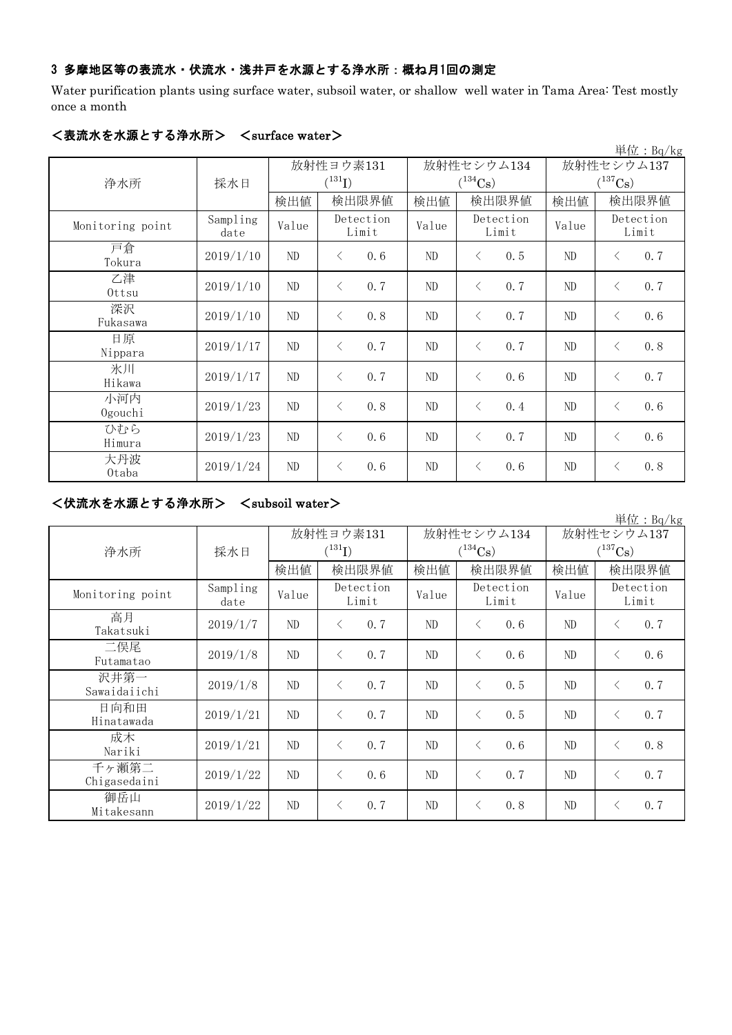# 3 多摩地区等の表流水・伏流水・浅井戸を水源とする浄水所:概ね月1回の測定

Water purification plants using surface water, subsoil water, or shallow well water in Tama Area: Test mostly once a month

|                  |                  |       |                    |                             |                            |                            | 単位: Bq/kg          |  |
|------------------|------------------|-------|--------------------|-----------------------------|----------------------------|----------------------------|--------------------|--|
| 浄水所              | 採水日              |       | 放射性ヨウ素131<br>(131) |                             | 放射性セシウム134<br>$(^{134}Cs)$ | 放射性セシウム137<br>$(^{137}Cs)$ |                    |  |
|                  |                  | 検出値   | 検出限界値              | 検出値<br>検出限界値                |                            | 検出値                        | 検出限界値              |  |
| Monitoring point | Sampling<br>date | Value | Detection<br>Limit | Detection<br>Value<br>Limit |                            | Value                      | Detection<br>Limit |  |
| 戸倉<br>Tokura     | 2019/1/10        | ND    | 0.6<br>$\langle$   | ND                          | 0.5<br>$\langle$           | ND                         | 0.7<br>$\lt$       |  |
| 乙津<br>Ottsu      | 2019/1/10        | ND    | 0.7<br>$\langle$   | ND                          | 0.7<br>$\lt$               | ND                         | 0.7<br>$\langle$   |  |
| 深沢<br>Fukasawa   | 2019/1/10        | ND    | 0.8<br>$\lt$       | ND                          | 0.7<br>$\langle$           | ND                         | 0.6<br>⟨           |  |
| 日原<br>Nippara    | 2019/1/17        | ND    | 0.7<br>$\lt$       | ND                          | 0.7<br>$\langle$           | ND                         | 0.8<br>$\langle$   |  |
| 氷川<br>Hikawa     | 2019/1/17        | ND    | 0.7<br>$\langle$   | ND                          | $\lt$<br>0.6               | ND                         | 0.7<br>$\lt$       |  |
| 小河内<br>Ogouchi   | 2019/1/23        | ND    | 0.8<br>$\langle$   | ND                          | $\langle$<br>0.4           | $\rm ND$                   | 0.6<br>$\lt$       |  |
| ひむら<br>Himura    | 2019/1/23        | ND    | 0.6<br>$\lt$       | ND                          | 0.7<br>$\lt$               | ND                         | 0.6<br>⟨           |  |
| 大丹波<br>0taba     | 2019/1/24        | ND    | 0.6<br>$\lt$       | ND                          | 0.6<br>$\lt$               | ND                         | 0.8<br>⟨           |  |

# <表流水を水源とする浄水所> <surface water>

# <伏流水を水源とする浄水所> <subsoil water>

|                       |                  |       |                    |       |                    |            | 単位: Bg/kg             |
|-----------------------|------------------|-------|--------------------|-------|--------------------|------------|-----------------------|
|                       |                  |       | 放射性ヨウ素131          |       | 放射性セシウム134         | 放射性セシウム137 |                       |
| 浄水所                   | 採水日              |       | $(^{131}I)$        |       | $(^{134}Cs)$       |            | $(^{137}\mathrm{Cs})$ |
|                       |                  | 検出値   | 検出限界値              | 検出値   | 検出限界値              | 検出値        | 検出限界値                 |
| Monitoring point      | Sampling<br>date | Value | Detection<br>Limit | Value | Detection<br>Limit |            | Detection<br>Limit    |
| 高月<br>Takatsuki       | 2019/1/7         | ND    | 0.7<br>$\lt$       | ND    | 0.6<br>$\lt$       | ND         | 0.7<br>$\lt$          |
| 二俣尾<br>Futamatao      | 2019/1/8         | ND    | 0.7<br>$\lt$       | ND    | 0, 6<br>$\lt$      | ND         | 0.6<br>$\lt$          |
| 沢井第一<br>Sawaidaiichi  | 2019/1/8         | ND    | 0.7<br>$\langle$   | ND    | 0.5<br>$\lt$       | ND         | 0.7<br>$\lt$          |
| 日向和田<br>Hinatawada    | 2019/1/21        | ND    | 0.7<br>$\lt$       | ND.   | 0.5<br>$\langle$   | ND         | 0.7<br>$\langle$      |
| 成木<br>Nariki          | 2019/1/21        | ND    | 0, 7<br>$\lt$      | ND    | 0, 6<br>⟨          | ND         | 0.8<br>$\langle$      |
| 千ヶ瀬第二<br>Chigasedaini | 2019/1/22        | ND    | 0.6<br>$\lt$       | ND    | 0.7<br>$\lt$       | ND         | 0.7<br>$\lt$          |
| 御岳山<br>Mitakesann     | 2019/1/22        | ND    | 0.7<br>$\lt$       | ND    | 0.8<br>⟨           | ND.        | 0.7                   |